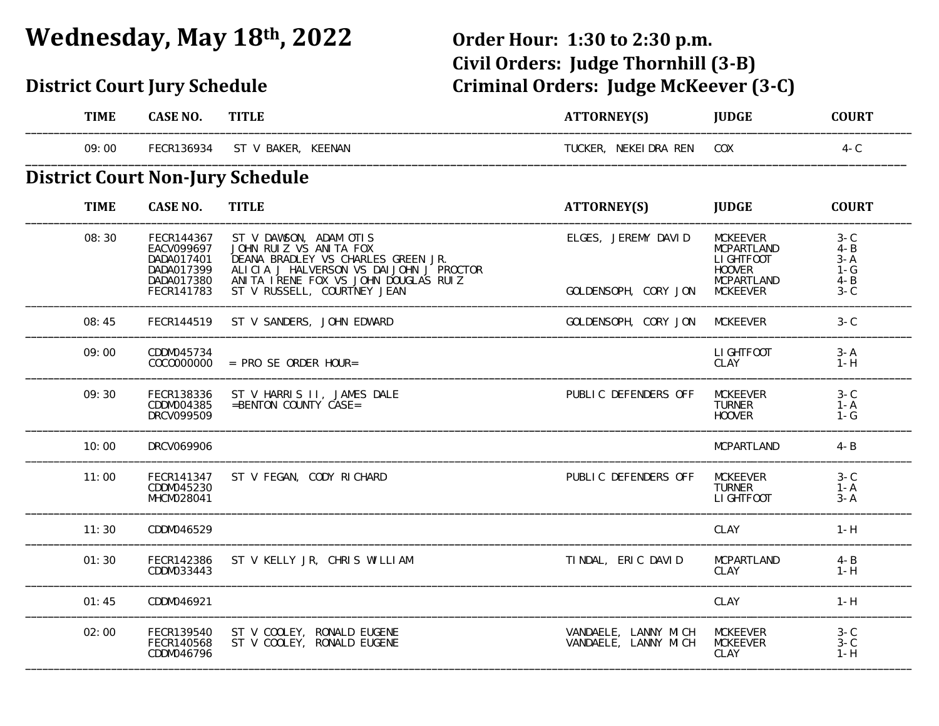## **Wednesday, May 18th, 2022 Order Hour: 1:30 to 2:30 p.m.**

### **District Court Jury Schedule**

# **Civil Orders: Judge Thornhill (3‐B) Criminal Orders: Judge McKeever (3-C)**

| <b>TIME</b>                             | <b>CASE NO.</b>                                                                  | <b>TITLE</b>                                                                                                                                                                                             | ATTORNEY(S)                                  | <b>JUDGE</b>                                                                                                | <b>COURT</b>                                             |
|-----------------------------------------|----------------------------------------------------------------------------------|----------------------------------------------------------------------------------------------------------------------------------------------------------------------------------------------------------|----------------------------------------------|-------------------------------------------------------------------------------------------------------------|----------------------------------------------------------|
| 09:00                                   | FECR136934                                                                       | ST V BAKER, KEENAN                                                                                                                                                                                       | TUCKER, NEKEI DRA REN                        | <b>COX</b>                                                                                                  | $4 - C$                                                  |
| <b>District Court Non-Jury Schedule</b> |                                                                                  |                                                                                                                                                                                                          |                                              |                                                                                                             |                                                          |
| <b>TIME</b>                             | <b>CASE NO.</b>                                                                  | <b>TITLE</b>                                                                                                                                                                                             | ATTORNEY(S)                                  | <b>JUDGE</b>                                                                                                | <b>COURT</b>                                             |
| 08:30                                   | FECR144367<br>EACV099697<br>DADA017401<br>DADA017399<br>DADA017380<br>FECR141783 | ST V DAWSON, ADAM OTIS<br>JOHN RUIZ VS ANITA FOX<br>DEANA BRADLEY VS CHARLES GREEN JR.<br>ALICIA J HALVERSON VS DAIJOHN J PROCTOR<br>ANITA IRENE FOX VS JOHN DOUGLAS RUIZ<br>ST V RUSSELL, COURTNEY JEAN | ELGES, JEREMY DAVID<br>GOLDENSOPH, CORY JON  | <b>MCKEEVER</b><br><b>MCPARTLAND</b><br>LI GHTFOOT<br><b>HOOVER</b><br><b>MCPARTLAND</b><br><b>MCKEEVER</b> | $3-C$<br>$4 - B$<br>$3 - A$<br>1-G<br>$4 - B$<br>$3 - C$ |
| 08:45                                   | FECR144519                                                                       | ST V SANDERS, JOHN EDWARD                                                                                                                                                                                | GOLDENSOPH, CORY JON                         | <b>MCKEEVER</b>                                                                                             | $3-C$                                                    |
| 09:00                                   | CDDM045734<br>COCOOOOOOO                                                         | $=$ PRO SE ORDER HOUR=                                                                                                                                                                                   |                                              | LI GHTFOOT<br>CLAY                                                                                          | $3 - A$<br>$1-H$                                         |
| 09:30                                   | FECR138336<br>CDDM004385<br>DRCV099509                                           | ST V HARRIS II, JAMES DALE<br>$=$ BENTON COUNTY CASE=                                                                                                                                                    | PUBLIC DEFENDERS OFF                         | <b>MCKEEVER</b><br><b>TURNER</b><br><b>HOOVER</b>                                                           | $3 - C$<br>$1 - A$<br>$1-G$                              |
| 10:00                                   | DRCV069906                                                                       |                                                                                                                                                                                                          |                                              | <b>MCPARTLAND</b>                                                                                           | $4 - B$                                                  |
| 11:00                                   | FECR141347<br>CDDM045230<br>MHCM028041                                           | ST V FEGAN, CODY RICHARD                                                                                                                                                                                 | PUBLIC DEFENDERS OFF                         | <b>MCKEEVER</b><br><b>TURNER</b><br>LI GHTFOOT                                                              | $3-C$<br>$1 - A$<br>$3 - A$                              |
| 11:30                                   | CDDM046529                                                                       |                                                                                                                                                                                                          |                                              | CLAY                                                                                                        | $1-H$                                                    |
| 01:30                                   | FECR142386<br>CDDM033443                                                         | ST V KELLY JR, CHRIS WILLIAM                                                                                                                                                                             | TINDAL, ERIC DAVID                           | MCPARTLAND<br>CLAY                                                                                          | $4 - B$<br>$1-H$                                         |
| 01:45                                   | CDDM046921                                                                       |                                                                                                                                                                                                          |                                              | CLAY                                                                                                        | $1-H$                                                    |
| 02:00                                   | FECR139540<br>FECR140568<br>CDDM046796                                           | ST V COOLEY, RONALD EUGENE<br>ST V COOLEY, RONALD EUGENE                                                                                                                                                 | VANDAELE, LANNY MICH<br>VANDAELE, LANNY MICH | <b>MCKEEVER</b><br><b>MCKEEVER</b><br><b>CLAY</b>                                                           | $3-C$<br>$3-C$<br>$1-H$                                  |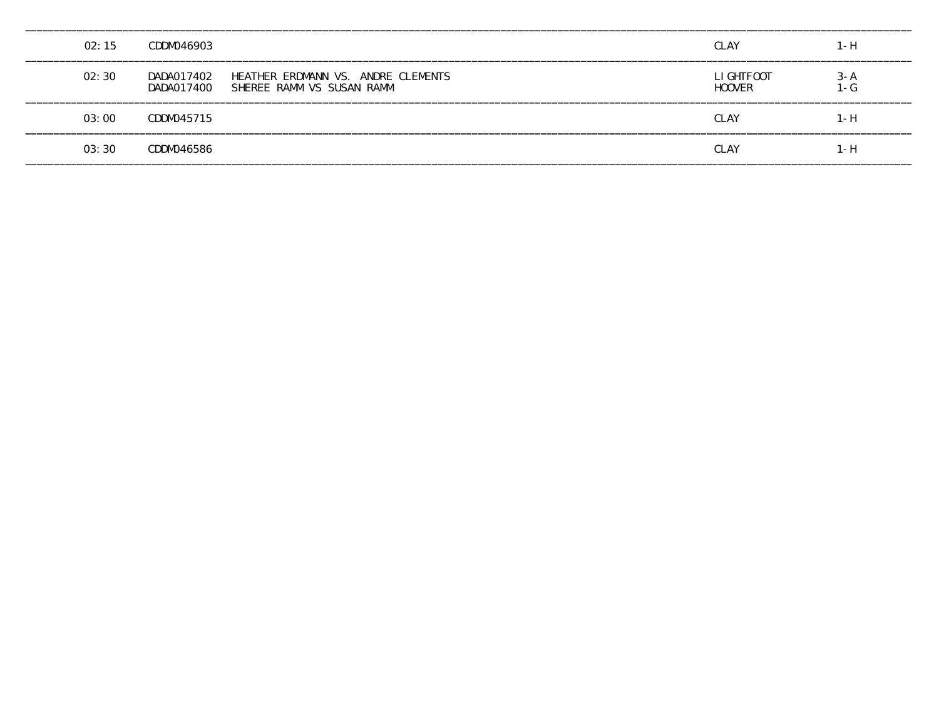| 02:15 | CDDM046903               |                                                                 | <b>CLAY</b>                 | $1-H$           |
|-------|--------------------------|-----------------------------------------------------------------|-----------------------------|-----------------|
| 02:30 | DADA017402<br>DADA017400 | HEATHER ERDMANN VS. ANDRE CLEMENTS<br>SHEREE RAMM VS SUSAN RAMM | LI GHTFOOT<br><b>HOOVER</b> | $3 - A$<br>l -G |
| 03:00 | CDDM045715               |                                                                 | <b>CLAY</b>                 | 1 - H           |
| 03:30 | CDDM046586               |                                                                 | <b>CLAY</b>                 | $1-H$           |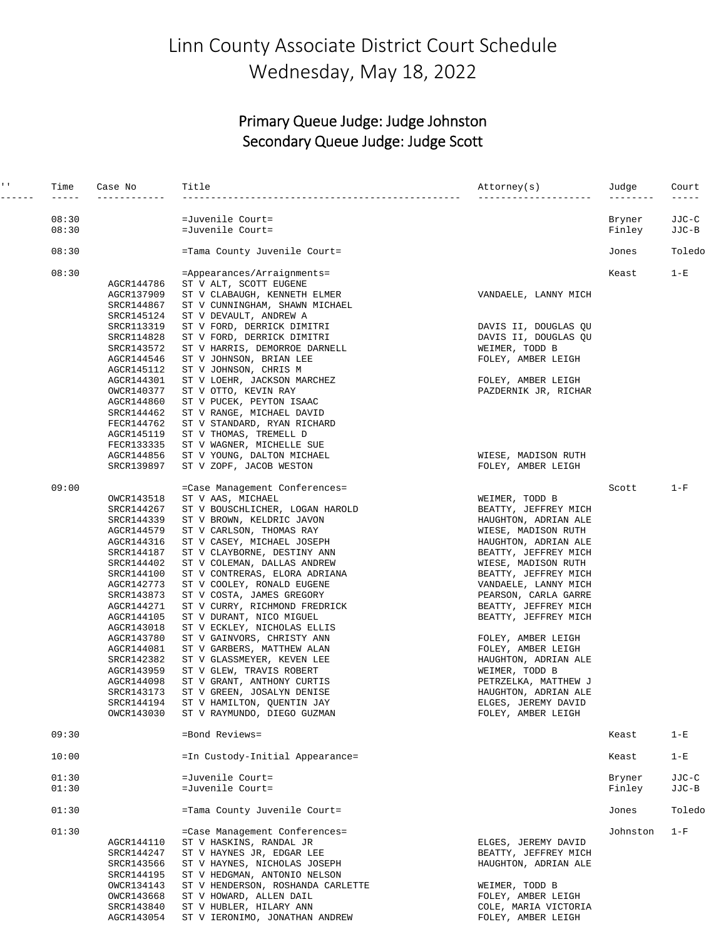## Linn County Associate District Court Schedule Wednesday, May 18, 2022

#### Primary Queue Judge: Judge Johnston Secondary Queue Judge: Judge Scott

| $\mathbf{I}=\mathbf{I}$ .<br>------- | Time<br>$- - - - -$ | Case No<br>------------  | Title                                                             | Attorney(s)                                 | Judge<br>-------- | Court  |
|--------------------------------------|---------------------|--------------------------|-------------------------------------------------------------------|---------------------------------------------|-------------------|--------|
|                                      | 08:30               |                          | =Juvenile Court=                                                  |                                             | Bryner            | JJC-C  |
|                                      | 08:30               |                          | =Juvenile Court=                                                  |                                             | Finley            | JJC-B  |
|                                      | 08:30               |                          | =Tama County Juvenile Court=                                      |                                             | Jones             | Toledo |
|                                      | 08:30               |                          | =Appearances/Arraignments=                                        |                                             | Keast             | $1-E$  |
|                                      |                     | AGCR144786               | ST V ALT, SCOTT EUGENE                                            |                                             |                   |        |
|                                      |                     | AGCR137909               | ST V CLABAUGH, KENNETH ELMER                                      | VANDAELE, LANNY MICH                        |                   |        |
|                                      |                     | SRCR144867               | ST V CUNNINGHAM, SHAWN MICHAEL                                    |                                             |                   |        |
|                                      |                     | SRCR145124<br>SRCR113319 | ST V DEVAULT, ANDREW A<br>ST V FORD, DERRICK DIMITRI              | DAVIS II, DOUGLAS QU                        |                   |        |
|                                      |                     | SRCR114828               | ST V FORD, DERRICK DIMITRI                                        | DAVIS II, DOUGLAS QU                        |                   |        |
|                                      |                     | SRCR143572               | ST V HARRIS, DEMORROE DARNELL                                     | WEIMER, TODD B                              |                   |        |
|                                      |                     | AGCR144546               | ST V JOHNSON, BRIAN LEE                                           | FOLEY, AMBER LEIGH                          |                   |        |
|                                      |                     | AGCR145112               | ST V JOHNSON, CHRIS M                                             |                                             |                   |        |
|                                      |                     | AGCR144301               | ST V LOEHR, JACKSON MARCHEZ                                       | FOLEY, AMBER LEIGH                          |                   |        |
|                                      |                     | OWCR140377               | ST V OTTO, KEVIN RAY                                              | PAZDERNIK JR, RICHAR                        |                   |        |
|                                      |                     | AGCR144860               | ST V PUCEK, PEYTON ISAAC                                          |                                             |                   |        |
|                                      |                     | SRCR144462               | ST V RANGE, MICHAEL DAVID                                         |                                             |                   |        |
|                                      |                     | FECR144762<br>AGCR145119 | ST V STANDARD, RYAN RICHARD<br>ST V THOMAS, TREMELL D             |                                             |                   |        |
|                                      |                     | FECR133335               | ST V WAGNER, MICHELLE SUE                                         |                                             |                   |        |
|                                      |                     | AGCR144856               | ST V YOUNG, DALTON MICHAEL                                        | WIESE, MADISON RUTH                         |                   |        |
|                                      |                     | SRCR139897               | ST V ZOPF, JACOB WESTON                                           | FOLEY, AMBER LEIGH                          |                   |        |
|                                      | 09:00               |                          | =Case Management Conferences=                                     |                                             | Scott             | $1-F$  |
|                                      |                     | OWCR143518               | ST V AAS, MICHAEL                                                 | WEIMER, TODD B                              |                   |        |
|                                      |                     | SRCR144267               | ST V BOUSCHLICHER, LOGAN HAROLD                                   | BEATTY, JEFFREY MICH                        |                   |        |
|                                      |                     | SRCR144339               | ST V BROWN, KELDRIC JAVON                                         | HAUGHTON, ADRIAN ALE                        |                   |        |
|                                      |                     | AGCR144579               | ST V CARLSON, THOMAS RAY                                          | WIESE, MADISON RUTH                         |                   |        |
|                                      |                     | AGCR144316               | ST V CASEY, MICHAEL JOSEPH                                        | HAUGHTON, ADRIAN ALE                        |                   |        |
|                                      |                     | SRCR144187               | ST V CLAYBORNE, DESTINY ANN                                       | BEATTY, JEFFREY MICH                        |                   |        |
|                                      |                     | SRCR144402<br>SRCR144100 | ST V COLEMAN, DALLAS ANDREW<br>ST V CONTRERAS, ELORA ADRIANA      | WIESE, MADISON RUTH<br>BEATTY, JEFFREY MICH |                   |        |
|                                      |                     | AGCR142773               | ST V COOLEY, RONALD EUGENE                                        | VANDAELE, LANNY MICH                        |                   |        |
|                                      |                     | SRCR143873               | ST V COSTA, JAMES GREGORY                                         | PEARSON, CARLA GARRE                        |                   |        |
|                                      |                     | AGCR144271               | ST V CURRY, RICHMOND FREDRICK                                     | BEATTY, JEFFREY MICH                        |                   |        |
|                                      |                     | AGCR144105               | ST V DURANT, NICO MIGUEL                                          | BEATTY, JEFFREY MICH                        |                   |        |
|                                      |                     | AGCR143018               | ST V ECKLEY, NICHOLAS ELLIS                                       |                                             |                   |        |
|                                      |                     | AGCR143780               | ST V GAINVORS, CHRISTY ANN                                        | FOLEY, AMBER LEIGH                          |                   |        |
|                                      |                     | AGCR144081               | ST V GARBERS, MATTHEW ALAN                                        | FOLEY, AMBER LEIGH                          |                   |        |
|                                      |                     | SRCR142382               | ST V GLASSMEYER, KEVEN LEE<br>ST V GLEW, TRAVIS ROBERT            | HAUGHTON, ADRIAN ALE                        |                   |        |
|                                      |                     | AGCR143959<br>AGCR144098 | ST V GRANT, ANTHONY CURTIS                                        | WEIMER, TODD B<br>PETRZELKA, MATTHEW J      |                   |        |
|                                      |                     | SRCR143173               | ST V GREEN, JOSALYN DENISE                                        | HAUGHTON, ADRIAN ALE                        |                   |        |
|                                      |                     | SRCR144194               | ST V HAMILTON, QUENTIN JAY                                        | ELGES, JEREMY DAVID                         |                   |        |
|                                      |                     | OWCR143030               | ST V RAYMUNDO, DIEGO GUZMAN                                       | FOLEY, AMBER LEIGH                          |                   |        |
|                                      | 09:30               |                          | =Bond Reviews=                                                    |                                             | Keast             | $1-E$  |
|                                      | 10:00               |                          | =In Custody-Initial Appearance=                                   |                                             | Keast             | $1-E$  |
|                                      | 01:30               |                          | =Juvenile Court=                                                  |                                             | Bryner            | JJC-C  |
|                                      | 01:30               |                          | =Juvenile Court=                                                  |                                             | Finley            | JJC-B  |
|                                      | 01:30               |                          | =Tama County Juvenile Court=                                      |                                             | Jones             | Toledo |
|                                      | 01:30               |                          | =Case Management Conferences=                                     |                                             | Johnston          | $1-F$  |
|                                      |                     | AGCR144110               | ST V HASKINS, RANDAL JR                                           | ELGES, JEREMY DAVID                         |                   |        |
|                                      |                     | SRCR144247               | ST V HAYNES JR, EDGAR LEE                                         | BEATTY, JEFFREY MICH                        |                   |        |
|                                      |                     | SRCR143566               | ST V HAYNES, NICHOLAS JOSEPH                                      | HAUGHTON, ADRIAN ALE                        |                   |        |
|                                      |                     | SRCR144195<br>OWCR134143 | ST V HEDGMAN, ANTONIO NELSON<br>ST V HENDERSON, ROSHANDA CARLETTE | WEIMER, TODD B                              |                   |        |
|                                      |                     | OWCR143668               | ST V HOWARD, ALLEN DAIL                                           | FOLEY, AMBER LEIGH                          |                   |        |
|                                      |                     | SRCR143840               | ST V HUBLER, HILARY ANN                                           | COLE, MARIA VICTORIA                        |                   |        |
|                                      |                     | AGCR143054               | ST V IERONIMO, JONATHAN ANDREW                                    | FOLEY, AMBER LEIGH                          |                   |        |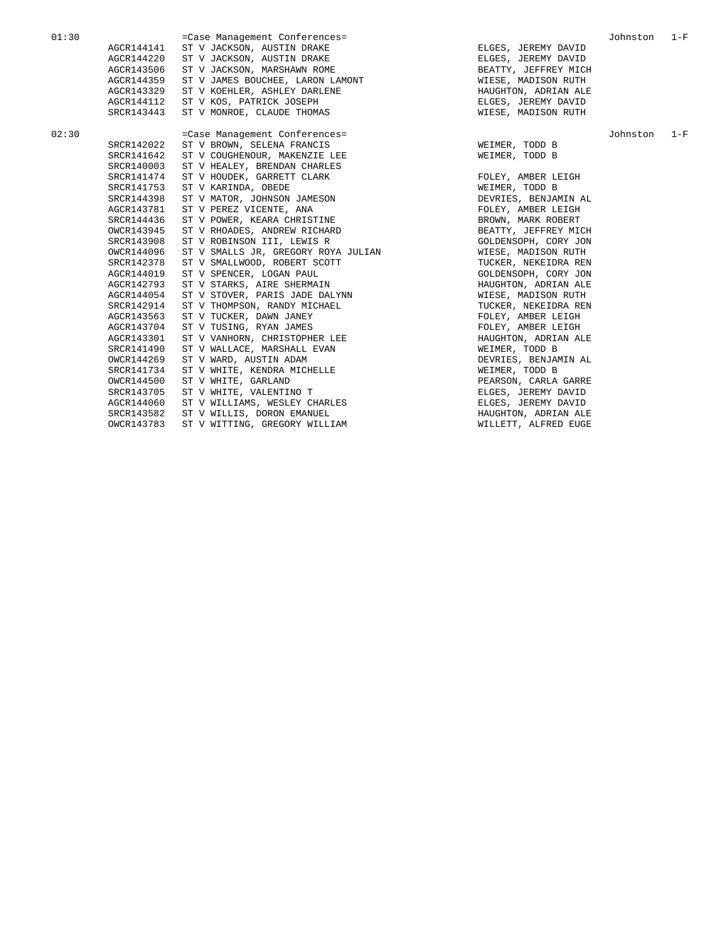01:30 =Case Management Conferences= Johnston 1-F AGCR144141 ST V JACKSON, AUSTIN DRAKE ELGES, JEREMY DAVID AGCR144220 ST V JACKSON, AUSTIN DRAKE ELGES, JEREMY DAVID AGCR143506 ST V JACKSON, MARSHAWN ROME STANDS AND REATTY, JEFFREY MICH AGCR144359 ST V JAMES BOUCHEE, LARON LAMONT WIESE, MADISON RUTH AGCR143329 ST V KOEHLER, ASHLEY DARLENE HAUGHTON, ADRIAN ALE AGCR144112 ST V KOS, PATRICK JOSEPH ELGES, JEREMY DAVID SRCR143443 ST V MONROE, CLAUDE THOMAS 02:30 =Case Management Conferences= Johnston 1-F SRCR142022 ST V BROWN, SELENA FRANCIS THE SELEMBER, TODD B SRCR141642 ST V COUGHENOUR, MAKENZIE LEE WEIMER, TOOD B SRCR140003 ST V HEALEY, BRENDAN CHARLES SRCR141474 ST V HOUDEK, GARRETT CLARK FOLEY, AMBER LEIGH SRCR141753 ST V KARINDA, OBEDE SRCR141753 ST V KARINDA, OBEDE WEIMER, TODD B SRCR144398 ST V MATOR, JOHNSON JAMESON DEVRIES, BENJAMIN AL AGCR143781 ST V PEREZ VICENTE, ANA FOLEY, AMBER LEIGH SRCR144436 ST V POWER, KEARA CHRISTINE SRCR144436 ST V POWER, KEARA CHRISTINE STAND AND READ BROWN, MARK ROBERT OWCR143945 ST V RHOADES, ANDREW RICHARD BEATTY, JEFFREY MICH SRCR143908 ST V ROBINSON III, LEWIS R<br>
SOLDENSOPH, CORY JON OWCR144096 ST V SMALLS JR, GREGORY ROYA JULIAN WIESE, MADISON RUTH ST V SMALLWOOD, ROBERT SCOTT TEEN SEED TUCKER, NEKEIDRA REN AGCR144019 ST V SPENCER, LOGAN PAUL SUSSEX SOLDENSOPH, CORY JON AGCR144019 ST V SPENCER, LOGAN PAUL GOLDENSOPH, CORY JON AGCR144019 ST V STARKS, AIRE SHERMAIN AGCR142793 ST V STARKS, AIRE SHERMAIN HANGHTON, ADRIAN ALENGRIADER ST V STOVER. PARIS JADE DALYNN AGCR144054 ST V STOVER, PARIS JADE DALYNN WIESE, MADISON RUTH SRCR142914 ST V THOMPSON, RANDY MICHAEL TUCKER, NEKEIDRA REN AGCR143563 ST V TUCKER, DAWN JANEY FOLEY, AMBER LEIGH AGCR143704 ST V TUSING, RYAN JAMES FOLEY, AMBER LEIGH AGCR143301 ST V VANHORN, CHRISTOPHER LEE HAUGHTON, ADRIAN ALE SRCR141490 ST V WALLACE, MARSHALL EVAN WEIMER, TODD B OWCR144269 ST V WARD, AUSTIN ADAM DEVRIES, BENJAMIN AL SRCR141734 ST V WHITE, KENDRA MICHELLE **WEIMER, TOOD B** OWCR144500 ST V WHITE, GARLAND PEARSON, CARLA GARRE SRCR143705 ST V WHITE, VALENTINO T<br>AGCR144060 ST V WILLIAMS, WESLEY CHARLES FREET SELGES, JEREMY DAVID AGCR144060 ST V WILLIAMS, WESLEY CHARLES FOR THE SELGES, JEREMY DAVID SRCR143582 ST V WILLIS, DORON EMANUEL SRCR143582 ST V WILLIS, DORON EMANUEL HAUGHTON, ADRIAN ALE OWCR143783 ST V WITTING, GREGORY WILLIAM